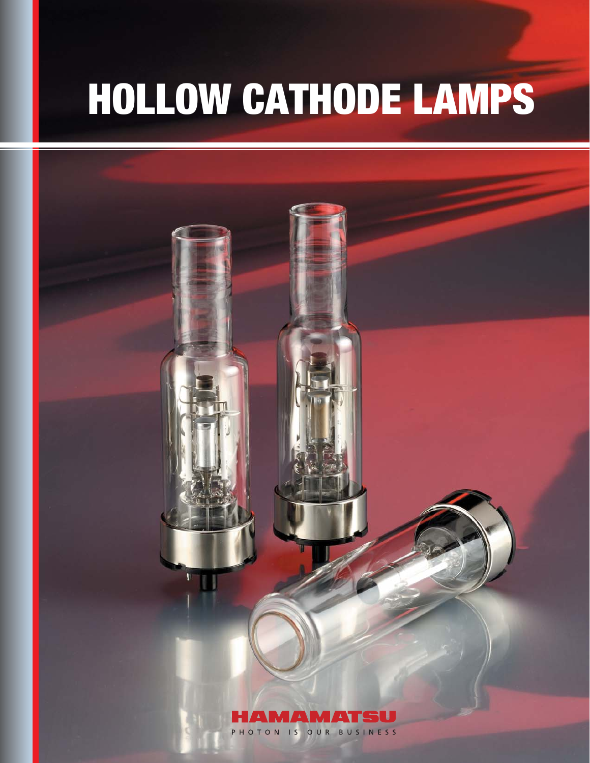# HOLLOW CATHODE LAMPS

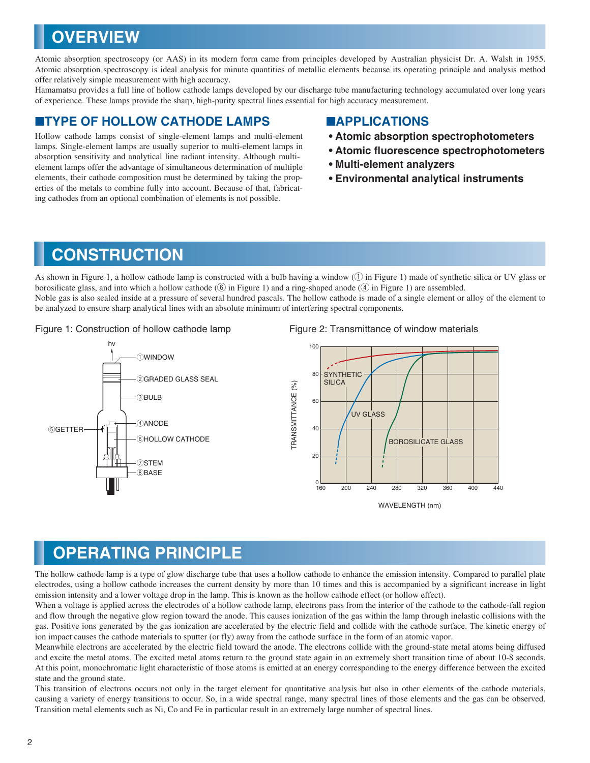# **OVERVIEW**

Atomic absorption spectroscopy (or AAS) in its modern form came from principles developed by Australian physicist Dr. A. Walsh in 1955. Atomic absorption spectroscopy is ideal analysis for minute quantities of metallic elements because its operating principle and analysis method offer relatively simple measurement with high accuracy.

Hamamatsu provides a full line of hollow cathode lamps developed by our discharge tube manufacturing technology accumulated over long years of experience. These lamps provide the sharp, high-purity spectral lines essential for high accuracy measurement.

### ■**TYPE OF HOLLOW CATHODE LAMPS** ■**APPLICATIONS**

Hollow cathode lamps consist of single-element lamps and multi-element lamps. Single-element lamps are usually superior to multi-element lamps in absorption sensitivity and analytical line radiant intensity. Although multielement lamps offer the advantage of simultaneous determination of multiple elements, their cathode composition must be determined by taking the properties of the metals to combine fully into account. Because of that, fabricating cathodes from an optional combination of elements is not possible.

- **Atomic absorption spectrophotometers**
- **Atomic fluorescence spectrophotometers**
- **Multi-element analyzers**
- **Environmental analytical instruments**

### **CONSTRUCTION**

As shown in Figure 1, a hollow cathode lamp is constructed with a bulb having a window  $(1)$  in Figure 1) made of synthetic silica or UV glass or borosilicate glass, and into which a hollow cathode  $(6)$  in Figure 1) and a ring-shaped anode  $(4)$  in Figure 1) are assembled. Noble gas is also sealed inside at a pressure of several hundred pascals. The hollow cathode is made of a single element or alloy of the element to be analyzed to ensure sharp analytical lines with an absolute minimum of interfering spectral components.

Figure 1: Construction of hollow cathode lamp Figure 2: Transmittance of window materials





WAVELENGTH (nm)

### **OPERATING PRINCIPLE**

The hollow cathode lamp is a type of glow discharge tube that uses a hollow cathode to enhance the emission intensity. Compared to parallel plate electrodes, using a hollow cathode increases the current density by more than 10 times and this is accompanied by a significant increase in light emission intensity and a lower voltage drop in the lamp. This is known as the hollow cathode effect (or hollow effect).

When a voltage is applied across the electrodes of a hollow cathode lamp, electrons pass from the interior of the cathode to the cathode-fall region and flow through the negative glow region toward the anode. This causes ionization of the gas within the lamp through inelastic collisions with the gas. Positive ions generated by the gas ionization are accelerated by the electric field and collide with the cathode surface. The kinetic energy of ion impact causes the cathode materials to sputter (or fly) away from the cathode surface in the form of an atomic vapor.

Meanwhile electrons are accelerated by the electric field toward the anode. The electrons collide with the ground-state metal atoms being diffused and excite the metal atoms. The excited metal atoms return to the ground state again in an extremely short transition time of about 10-8 seconds. At this point, monochromatic light characteristic of those atoms is emitted at an energy corresponding to the energy difference between the excited state and the ground state.

This transition of electrons occurs not only in the target element for quantitative analysis but also in other elements of the cathode materials, causing a variety of energy transitions to occur. So, in a wide spectral range, many spectral lines of those elements and the gas can be observed. Transition metal elements such as Ni, Co and Fe in particular result in an extremely large number of spectral lines.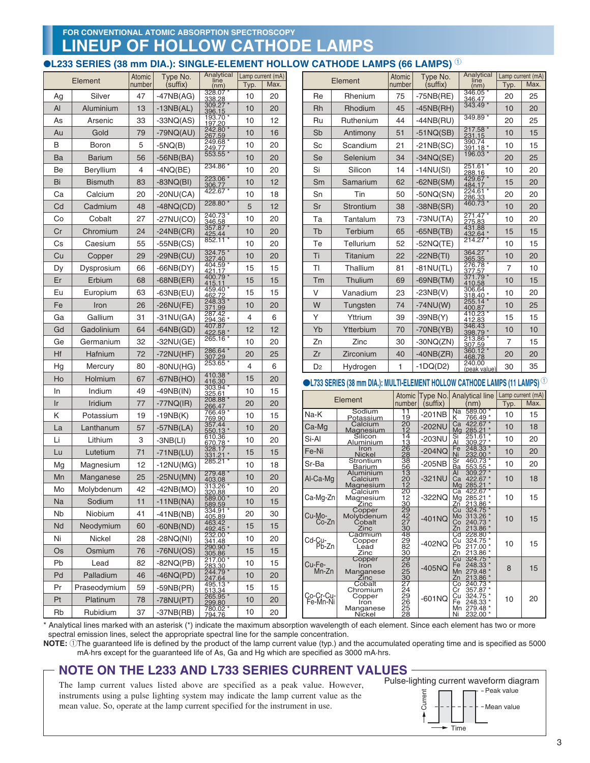### **LINEUP OF HOLLOW CATHODE LAMPS FOR CONVENTIONAL ATOMIC ABSORPTION SPECTROSCOPY**

### **OL233 SERIES (38 mm DIA.): SINGLE-ELEMENT HOLLOW CATHODE LAMPS (66 LAMPS)** <sup>1</sup>

|    | Element        |    | Type No.<br>(suffix) | Analytical<br>line<br>(nm) | Typ. | Lamp current (mA)<br>Max. | Element               |                                                                                                          | Atomic<br>number                                                   | Type No.<br>(suffix) | Analytical<br>line<br>(nm)                                                                           | Typ.           | Lamp current (mA)<br>Max. |
|----|----------------|----|----------------------|----------------------------|------|---------------------------|-----------------------|----------------------------------------------------------------------------------------------------------|--------------------------------------------------------------------|----------------------|------------------------------------------------------------------------------------------------------|----------------|---------------------------|
| Ag | Silver         | 47 | $-47NB(AG)$          | 328.07<br>338.28           | 10   | 20                        | Re                    | Rhenium                                                                                                  | 75                                                                 | $-75NB(RE)$          | 346.05<br>346.47                                                                                     | 20             | 25                        |
| Al | Aluminium      | 13 | $-13NB(AL)$          | 309.27<br>396.15           | 10   | 20                        | Rh                    | Rhodium                                                                                                  | 45                                                                 | $-45NB(HH)$          | 343.49                                                                                               | 10             | 20                        |
| As | Arsenic        | 33 | $-33NQ(AS)$          | 193.70<br>197.20           | 10   | 12                        | Ru                    | Ruthenium                                                                                                | 44                                                                 | $-44NB(BU)$          | 349.89'                                                                                              | 20             | 25                        |
| Au | Gold           | 79 | $-79NQ(AU)$          | 242.80<br>267.59           | 10   | 16                        | Sb                    | Antimony                                                                                                 | 51                                                                 | $-51NQ(SB)$          | 217.58<br>231.15                                                                                     | 10             | 15                        |
| B  | <b>Boron</b>   | 5  | $-SNQ(B)$            | 249.68                     | 10   | 20                        | Sc                    | Scandium                                                                                                 | 21                                                                 | $-21NB(SC)$          | $\frac{1}{390.74}$<br>$\frac{391.18}{5}$                                                             | 10             | 15                        |
| Ba | <b>Barium</b>  | 56 | $-56NB(BA)$          | 553.55                     | 10   | 20                        | Se                    | Selenium                                                                                                 | 34                                                                 | $-34NQ(SE)$          | 196.03                                                                                               | 20             | 25                        |
| Be | Beryllium      | 4  | $-4NQ(BE)$           | 234.86                     | 10   | 20                        | Si                    | Silicon                                                                                                  | 14                                                                 | $-14NU(SI)$          | 251.61<br>288.16                                                                                     | 10             | 20                        |
| Bi | <b>Bismuth</b> | 83 | $-83NQ(BI)$          | 223.06<br>306.77           | 10   | 12                        | Sm                    | Samarium                                                                                                 | 62                                                                 | $-62NB(SM)$          | 429.67<br>484.17                                                                                     | 15             | 20                        |
| Ca | Calcium        | 20 | $-20NU(CA)$          | 422.67                     | 10   | 18                        | Sn                    | Tin                                                                                                      | 50                                                                 | $-50NQ(SN)$          | 224.61<br>286.33                                                                                     | 20             | 20                        |
| Cd | Cadmium        | 48 | $-48NQ(CD)$          | 228.80                     | 5    | 12                        | Sr                    | Strontium                                                                                                | 38                                                                 | $-38NB(SR)$          | 460.73                                                                                               | 10             | 20                        |
| Co | Cobalt         | 27 | $-27NU(CO)$          | 240.73<br>346.58           | 10   | 20                        | Ta                    | Tantalum                                                                                                 | 73                                                                 | $-73NU(TA)$          | 271.47<br>275.83                                                                                     | 10             | 20                        |
| Cr | Chromium       | 24 | $-24NB(CR)$          | 357.87<br>425.44<br>852.11 | 10   | 20                        | Tb                    | Terbium                                                                                                  | 65                                                                 | $-65NB(TB)$          | 431.88<br>432.64                                                                                     | 15             | 15                        |
| Cs | Caesium        | 55 | $-55NB(CS)$          |                            | 10   | 20                        | Te                    | Tellurium                                                                                                | 52                                                                 | $-52NQ(TE)$          | 214.27                                                                                               | 10             | 15                        |
| Cu | Copper         | 29 | $-29NB(CU)$          | 324.75<br>327.40           | 10   | 20                        | Ti                    | Titanium                                                                                                 | 22                                                                 | $-22NB(TI)$          | 364.27<br>365.35                                                                                     | 10             | 20                        |
| Dy | Dysprosium     | 66 | $-66NB(DY)$          | 404.59<br>421.17           | 15   | 15                        | TI                    | Thallium                                                                                                 | 81                                                                 | $-81$ NU(TL)         | 276.78<br>377.57                                                                                     | $\overline{7}$ | 10                        |
| Er | Erbium         | 68 | $-68NB(ER)$          | 400.79<br>415.11           | 15   | 15                        | Tm                    | Thulium                                                                                                  | 69                                                                 | $-69NB(TM)$          | 371.79<br>410.58                                                                                     | 10             | 15                        |
| Eu | Europium       | 63 | $-63NB$ (EU)         | 459.40<br>462.72           | 15   | 15                        | V                     | Vanadium                                                                                                 | 23                                                                 | $-23NB(V)$           | 306.64<br>318.40 *                                                                                   | 10             | 20                        |
| Fe | Iron           | 26 | $-26$ NU(FE)         | 248.33<br>371.99           | 10   | 20                        | W                     | Tungsten                                                                                                 | 74                                                                 | $-74NU(W)$           | 255.14<br>400.87                                                                                     | 10             | 25                        |
| Ga | Gallium        | 31 | $-31NU(GA)$          | 287.42<br>294.36           | 4    | 6                         | Υ                     | Yttrium                                                                                                  | 39                                                                 | $-39NB(Y)$           | 410.23<br>412.83                                                                                     | 15             | 15                        |
| Gd | Gadolinium     | 64 | $-64NB(GD)$          | 407.87<br>422.58           | 12   | 12                        | Yb                    | Ytterbium                                                                                                | 70                                                                 | $-70NB(YB)$          | 346.43<br>398.79                                                                                     | 10             | 10                        |
| Ge | Germanium      | 32 | $-32NU(GE)$          | 265.16                     | 10   | 20                        | Zn                    | Zinc                                                                                                     | 30                                                                 | $-30NQ(ZN)$          | 213.86                                                                                               | $\overline{7}$ | 15                        |
| Hf | Hafnium        | 72 | $-72NU(HF)$          | 286.64 *<br>307.29         | 20   | 25                        | Zr                    | Zirconium                                                                                                | 40                                                                 | $-40NB(ZR)$          | 360.12<br>468.78                                                                                     | 20             | 20                        |
| Hg | Mercury        | 80 | $-80$ NU(HG)         | 253.65                     | 4    | 6                         | D <sub>2</sub>        | Hydrogen                                                                                                 | 1                                                                  | $-1DQ(D2)$           | 240.00<br>(peak value)                                                                               | 30             | 35                        |
| Ho | Holmium        | 67 | $-67NB(HO)$          | 410.38<br>416.30           | 15   | 20                        |                       | $\blacktriangleright$ L733 SERIES (38 mm DIA.): MULTI-ELEMENT HOLLOW CATHODE LAMPS (11 LAMPS) $^{\circ}$ |                                                                    |                      |                                                                                                      |                |                           |
| In | Indium         | 49 | $-49NB(1N)$          | 303.94<br>325.61           | 10   | 15                        |                       |                                                                                                          |                                                                    |                      | Atomic Type No. Analytical line                                                                      |                | Lamp current (mA)         |
| Ir | Iridium        | 77 | $-77NQ(IR)$          | 208.88<br>266.47           | 20   | 20                        |                       | Element                                                                                                  | number                                                             | (suffix)             | (nm)                                                                                                 | Typ.           | Max.                      |
| Κ  | Potassium      | 19 | $-19NB(K)$           | 766.49<br>769.90           | 10   | 15                        | Na-K                  | Sodium<br><u>Potassium</u>                                                                               | 11<br>19                                                           | $-201NB$             | 589.00 *<br>Na<br>K                                                                                  | 10             | 15                        |
| La | Lanthanum      | 57 | $-57NB(LA)$          | 357.44<br>550.13           | 10   | 20                        | Ca-Mg                 | Calcium<br>Magnesium                                                                                     | $\frac{20}{20}$<br>12                                              | $-202$ NU            | Ca<br>Mg<br>422.67<br>285.21                                                                         | 10             | 18                        |
| Li | Lithium        | 3  | $-3NB(LI)$           | 610.36<br>670.78           | 10   | 20                        | Si-Al                 | Silicon<br>Aluminium                                                                                     |                                                                    | $-203$ NU            | 251.61<br>309.27<br>248.33<br>232.00<br>Si<br>Al                                                     | 10             | 20                        |
| Lu | Lutetium       | 71 | $-71NB(LU)$          | 328.17<br>331.21           | 15   | 15                        | Fe-Ni                 | Iron<br><u>Nickel</u>                                                                                    | 14<br>13<br>26<br>28<br>36<br>5<br>13<br>20<br>21<br>20<br>21<br>2 | $-204NQ$             | Fe                                                                                                   | 10             | 20                        |
| Mg | Magnesium      | 12 | $-12NU(MG)$          | 285.21                     | 10   | 18                        | Sr-Ba                 | Strontium<br><u>Barium</u>                                                                               |                                                                    | $-205NB$             | Sr<br>Ba<br>460.73<br>553.55                                                                         | 10             | 20                        |
| Mn | Manganese      | 25 | $-25NU(MN)$          | 279.48<br>403.08           | 10   | 20                        | Al-Ca-Mq              | Aluminium<br>Calcium                                                                                     |                                                                    | $-321$ NU            | Al<br>309.27<br>Ca<br>422.67<br>285.21                                                               | 10             | 18                        |
| Mo | Molybdenum     | 42 | $-42NB(MO)$          | 313.26<br>320.88           | 10   | 20                        | Ca-Mg-Zn              | <b>Magnesium</b><br>Calcium                                                                              |                                                                    |                      | Ca 422.67<br>-322NQ Mg 285.21 *                                                                      | 10             | 15                        |
| Na | Sodium         | 11 | $-11NB(NA)$          | 589.00<br>589.59           | 10   | 15                        |                       | Magnesium<br><u>∠inc</u>                                                                                 |                                                                    |                      | <u>Zn 213.86</u>                                                                                     |                |                           |
| Nb | Niobium        | 41 | $-41NB(NB)$          | 334.91<br>405.89           | 20   | 30                        | Cu-Mo-<br>Co-Zn       | Copper<br>Molybdenum                                                                                     | $\frac{29}{42}$                                                    | $-401NQ$             | Cu 324.75<br>Mo 313.26 *                                                                             | 10             | 15                        |
| Nd | Neodymium      | 60 | $-60NB(ND)$          | 463.42<br>492.45<br>232.00 | 15   | 15                        |                       | Cobalt<br>Zinc<br>Cadmium                                                                                | 30                                                                 |                      |                                                                                                      |                |                           |
| Ni | Nickel         | 28 | $-28NQ(NI)$          | 341.48                     | 10   | 20                        | Cd-Cu-<br>Pb-Zn       | Copper<br>Lead                                                                                           | 48<br>29<br>82<br>30                                               | $-402NQ$             | 2n 213.86 *<br>Cd 228.80 *<br>Cu 324.75 *<br>Pb 217.00 *<br>Zn 213.86 *                              | 10             | 15                        |
| Os | Osmium         | 76 | $-76NU(OS)$          | 290.90<br>305.86           | 15   | 15                        |                       | Zinc                                                                                                     |                                                                    |                      |                                                                                                      |                |                           |
| Pb | Lead           | 82 | $-82NQ(PB)$          | 217.00<br>283.30           | 10   | 15                        | Cu-Fe-<br>Mn-Zn       | Copper<br>Iron                                                                                           | 29<br>225<br>227<br>29<br>25<br>25                                 | $-405NQ$             | 211 213.00<br>Cu 324.75 *<br>Fe 248.33 *<br>Mn 279.48 *<br>Zn 213.86 *<br>Co 240.73 *<br>Cr 357.87 * | 8              | 15                        |
| Pd | Palladium      | 46 | $-46NQ(PD)$          | 244.79<br>247.64           | 10   | 20                        |                       | Manganese<br>Zinc<br>Cobalt                                                                              |                                                                    |                      |                                                                                                      |                |                           |
| Pr | Praseodymium   | 59 | $-59NB(PR)$          | 495.13<br>513.34           | 15   | 15                        |                       | Chromium                                                                                                 |                                                                    |                      | Cr<br>Cu                                                                                             |                |                           |
| Pt | Platinum       | 78 | $-78NU(PT)$          | 265.95<br>299.80           | 10   | 20                        | Co-Cr-Cu-<br>Fe-Mn-Ni | Copper<br>Iron                                                                                           |                                                                    | $-601NQ$             | 324.75 *<br>248.33 *<br>Fe                                                                           | 10             | 20                        |
| Rb | Rubidium       | 37 | $-37NB(BB)$          | 780.02<br>794.76           | 10   | 20                        |                       | Manganese<br>Nickel                                                                                      | 28                                                                 |                      | Mn 279.48 *<br>Ni 232.00 *                                                                           |                |                           |

\* Analytical lines marked with an asterisk (\*) indicate the maximum absorption wavelength of each element. Since each element has two or more spectral emission lines, select the appropriate spectral line for the sample concentration.

**NOTE:** 1The guaranteed life is defined by the product of the lamp current value (typ.) and the accumulated operating time and is specified as 5000 mA·hrs except for the guaranteed life of As, Ga and Hg which are specified as 3000 mA·hrs.

### **NOTE ON THE L233 AND L733 SERIES CURRENT VALUES**

The lamp current values listed above are specified as a peak value. However, instruments using a pulse lighting system may indicate the lamp current value as the mean value. So, operate at the lamp current specified for the instrument in use.



Time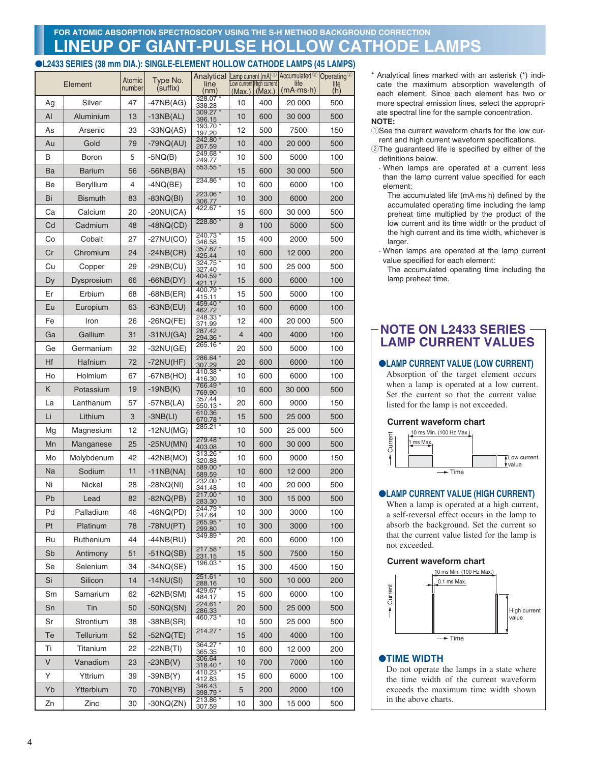### **LINEUP OF GIANT-PULSE HOLLOW CATHODE LAMPS FOR ATOMIC ABSORPTION SPECTROSCOPY USING THE S-H METHOD BACKGROUND CORRECTION**

### ●**L2433 SERIES (38 mm DIA.): SINGLE-ELEMENT HOLLOW CATHODE LAMPS (45 LAMPS)**

|    |                | Atomic | Type No.     |                    | Analytical Lamp current (mA) <sup>1</sup> Accumulated <sup>2</sup> Operating <sup>2</sup><br>Low current High current |                   | life                    |             |
|----|----------------|--------|--------------|--------------------|-----------------------------------------------------------------------------------------------------------------------|-------------------|-------------------------|-------------|
|    | Element        | number | (suffix)     | line<br>(nm)       |                                                                                                                       | $(Max.)$ $(Max.)$ | $(mA \cdot ms \cdot h)$ | life<br>(h) |
| Ag | Silver         | 47     | $-47NB(AG)$  | 328.07*<br>338.28  | 10                                                                                                                    | 400               | 20 000                  | 500         |
| AI | Aluminium      | 13     | $-13NB(AL)$  | 309.27*<br>396.15  | 10                                                                                                                    | 600               | 30 000                  | 500         |
| As | Arsenic        | 33     | $-33NQ(AS)$  | 193.70 *<br>197.20 | 12                                                                                                                    | 500               | 7500                    | 150         |
| Au | Gold           | 79     | $-79NQ(AU)$  | 242.80 *<br>267.59 | 10                                                                                                                    | 400               | 20 000                  | 500         |
| B  | Boron          | 5      | -5NQ(B)      | 249.68 *<br>249.77 | 10                                                                                                                    | 500               | 5000                    | 100         |
| Ba | Barium         | 56     | $-56NB(BA)$  | 553.55 *           | 15                                                                                                                    | 600               | 30 000                  | 500         |
| Be | Beryllium      | 4      | $-4NQ(BE)$   | 234.86 *           | 10                                                                                                                    | 600               | 6000                    | 100         |
| Bi | <b>Bismuth</b> | 83     | $-83NQ(BI)$  | 223.06 *<br>306.77 | 10                                                                                                                    | 300               | 6000                    | 200         |
| Сa | Calcium        | 20     | -20NU(CA)    | 422.67 *           | 15                                                                                                                    | 600               | 30 000                  | 500         |
| Cd | Cadmium        | 48     | $-48NQ(CD)$  | 228.80 *           | 8                                                                                                                     | 100               | 5000                    | 500         |
| Co | Cobalt         | 27     | $-27NU(CO)$  | 240.73 *<br>346.58 | 15                                                                                                                    | 400               | 2000                    | 500         |
| Cr | Chromium       | 24     | $-24NB(CR)$  | 357.87<br>425.44   | 10                                                                                                                    | 600               | 12 000                  | 200         |
| Cu | Copper         | 29     | $-29NB$ (CU) | 324.75 *<br>327.40 | 10                                                                                                                    | 500               | 25 000                  | 500         |
| Dy | Dysprosium     | 66     | -66NB(DY)    | 404.59<br>421.17   | 15                                                                                                                    | 600               | 6000                    | 100         |
| Er | Erbium         | 68     | $-68NB(ER)$  | 400.79 *<br>415.11 | 15                                                                                                                    | 500               | 5000                    | 100         |
| Eu | Europium       | 63     | $-63NB(EU)$  | 459.40 *<br>462.72 | 10                                                                                                                    | 600               | 6000                    | 100         |
| Fe | Iron           | 26     | -26NQ(FE)    | 248.33 *<br>371.99 | 12                                                                                                                    | 400               | 20 000                  | 500         |
| Ga | Gallium        | 31     | $-31$ NU(GA) | 287.42<br>294.36 * | 4                                                                                                                     | 400               | 4000                    | 100         |
| Ge | Germanium      | 32     | -32NU(GE)    | 265.16 *           | 20                                                                                                                    | 500               | 5000                    | 100         |
| Hf | Hafnium        | 72     | -72NU(HF)    | 286.64 *<br>307.29 | 20                                                                                                                    | 600               | 6000                    | 100         |
| Ho | Holmium        | 67     | -67NB(HO)    | 410.38 *<br>416.30 | 10                                                                                                                    | 600               | 6000                    | 100         |
| K  | Potassium      | 19     | $-19NB(K)$   | 766.49 *<br>769.90 | 10                                                                                                                    | 600               | 30 000                  | 500         |
| La | Lanthanum      | 57     | $-57NB(LA)$  | 357.44<br>550.13 * | 20                                                                                                                    | 600               | 9000                    | 150         |
| Li | Lithium        | 3      | $-SNB(LI)$   | 610.36<br>670.78 * | 15                                                                                                                    | 500               | 25 000                  | 500         |
| Mg | Magnesium      | 12     | $-12NU(MG)$  | 285.21 *           | 10                                                                                                                    | 500               | 25 000                  | 500         |
| Mn | Manganese      | 25     | $-25NU(MN)$  | 279.48 *<br>403.08 | 10                                                                                                                    | 600               | 30 000                  | 500         |
| Mo | Molybdenum     | 42     | $-42NB(MO)$  | 313.26 *<br>320.88 | 10                                                                                                                    | 600               | 9000                    | 150         |
| Na | Sodium         | 11     | $-11NB(NA)$  | 589.00 *<br>589.59 | 10                                                                                                                    | 600               | 12 000                  | 200         |
| Ni | Nickel         | 28     | $-28NQ(NI)$  | 232.00<br>341.48   | 10                                                                                                                    | 400               | 20 000                  | 500         |
| Pb | Lead           | 82     | $-82NQ(PB)$  | 217.00 *<br>283.30 | 10                                                                                                                    | 300               | 15 000                  | 500         |
| Pd | Palladium      | 46     | $-46NQ(PD)$  | 244.79 *<br>247.64 | 10                                                                                                                    | 300               | 3000                    | 100         |
| Pt | Platinum       | 78     | $-78NU(PT)$  | 265.95<br>299.80   | 10                                                                                                                    | 300               | 3000                    | 100         |
| Ru | Ruthenium      | 44     | $-44NB(RU)$  | 349.89 *           | 20                                                                                                                    | 600               | 6000                    | 100         |
| Sb | Antimony       | 51     | $-51NQ(SB)$  | 217.58<br>231.15   | 15                                                                                                                    | 500               | 7500                    | 150         |
| Se | Selenium       | 34     | $-34NQ(SE)$  | 196.03 *           | 15                                                                                                                    | 300               | 4500                    | 150         |
| Si | Silicon        | 14     | $-14NU(SI)$  | 251.61 *<br>288.16 | 10                                                                                                                    | 500               | 10 000                  | 200         |
| Sm | Samarium       | 62     | $-62NB(SM)$  | 429.67 *<br>484.17 | 15                                                                                                                    | 600               | 6000                    | 100         |
| Sn | Tin            | 50     | $-50NQ(SN)$  | 224.61 *<br>286.33 | 20                                                                                                                    | 500               | 25 000                  | 500         |
| Sr | Strontium      | 38     | -38NB(SR)    | 460.73 *           | 10                                                                                                                    | 500               | 25 000                  | 500         |
| Te | Tellurium      | 52     | $-52NQ(TE)$  | $214.27*$          | 15                                                                                                                    | 400               | 4000                    | 100         |
| Ti | Titanium       | 22     | $-22NB(TI)$  | 364.27 *<br>365.35 | 10                                                                                                                    | 600               | 12 000                  | 200         |
| V  | Vanadium       | 23     | $-23NB(V)$   | 306.64<br>318.40 * | 10                                                                                                                    | 700               | 7000                    | 100         |
| Υ  | Yttrium        | 39     | $-39NB(Y)$   | 410.23 *<br>412.83 | 15                                                                                                                    | 600               | 6000                    | 100         |
| Yb | Ytterbium      | 70     | $-70NB(YB)$  | 346.43<br>398.79 * | 5                                                                                                                     | 200               | 2000                    | 100         |
| Zn | Zinc           | 30     | $-30NQ(ZN)$  | 213.86 *<br>307.59 | 10                                                                                                                    | 300               | 15 000                  | 500         |

\* Analytical lines marked with an asterisk (\*) indicate the maximum absorption wavelength of each element. Since each element has two or more spectral emission lines, select the appropriate spectral line for the sample concentration.

#### **NOTE:**

- 1) See the current waveform charts for the low current and high current waveform specifications.
- 2The guaranteed life is specified by either of the definitions below.
	- · When lamps are operated at a current less than the lamp current value specified for each element:
	- The accumulated life (mA·ms·h) defined by the accumulated operating time including the lamp preheat time multiplied by the product of the low current and its time width or the product of the high current and its time width, whichever is larger.
	- · When lamps are operated at the lamp current value specified for each element:

The accumulated operating time including the lamp preheat time.

### **NOTE ON L2433 SERIES LAMP CURRENT VALUES**

### ●**LAMP CURRENT VALUE (LOW CURRENT)**

Absorption of the target element occurs when a lamp is operated at a low current. Set the current so that the current value listed for the lamp is not exceeded.

### **Current waveform chart**



### ●**LAMP CURRENT VALUE (HIGH CURRENT)**

When a lamp is operated at a high current, a self-reversal effect occurs in the lamp to absorb the background. Set the current so that the current value listed for the lamp is not exceeded.

### **Current waveform chart**



### ●**TIME WIDTH**

Do not operate the lamps in a state where the time width of the current waveform exceeds the maximum time width shown in the above charts.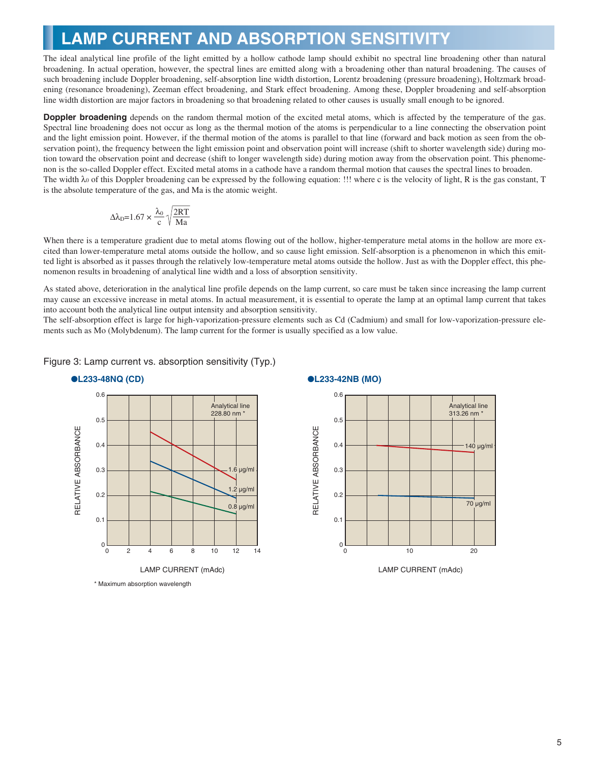### **LAMP CURRENT AND ABSORPTION SENSITIVITY**

The ideal analytical line profile of the light emitted by a hollow cathode lamp should exhibit no spectral line broadening other than natural broadening. In actual operation, however, the spectral lines are emitted along with a broadening other than natural broadening. The causes of such broadening include Doppler broadening, self-absorption line width distortion, Lorentz broadening (pressure broadening), Holtzmark broadening (resonance broadening), Zeeman effect broadening, and Stark effect broadening. Among these, Doppler broadening and self-absorption line width distortion are major factors in broadening so that broadening related to other causes is usually small enough to be ignored.

**Doppler broadening** depends on the random thermal motion of the excited metal atoms, which is affected by the temperature of the gas. Spectral line broadening does not occur as long as the thermal motion of the atoms is perpendicular to a line connecting the observation point and the light emission point. However, if the thermal motion of the atoms is parallel to that line (forward and back motion as seen from the observation point), the frequency between the light emission point and observation point will increase (shift to shorter wavelength side) during motion toward the observation point and decrease (shift to longer wavelength side) during motion away from the observation point. This phenomenon is the so-called Doppler effect. Excited metal atoms in a cathode have a random thermal motion that causes the spectral lines to broaden. The width λ0 of this Doppler broadening can be expressed by the following equation: !!! where c is the velocity of light, R is the gas constant, T is the absolute temperature of the gas, and Ma is the atomic weight.

$$
\Delta\lambda_D{=}1.67\times\frac{\lambda_0}{c}\sqrt{\frac{2RT}{Ma}}
$$

When there is a temperature gradient due to metal atoms flowing out of the hollow, higher-temperature metal atoms in the hollow are more excited than lower-temperature metal atoms outside the hollow, and so cause light emission. Self-absorption is a phenomenon in which this emitted light is absorbed as it passes through the relatively low-temperature metal atoms outside the hollow. Just as with the Doppler effect, this phenomenon results in broadening of analytical line width and a loss of absorption sensitivity.

As stated above, deterioration in the analytical line profile depends on the lamp current, so care must be taken since increasing the lamp current may cause an excessive increase in metal atoms. In actual measurement, it is essential to operate the lamp at an optimal lamp current that takes into account both the analytical line output intensity and absorption sensitivity.

The self-absorption effect is large for high-vaporization-pressure elements such as Cd (Cadmium) and small for low-vaporization-pressure elements such as Mo (Molybdenum). The lamp current for the former is usually specified as a low value.





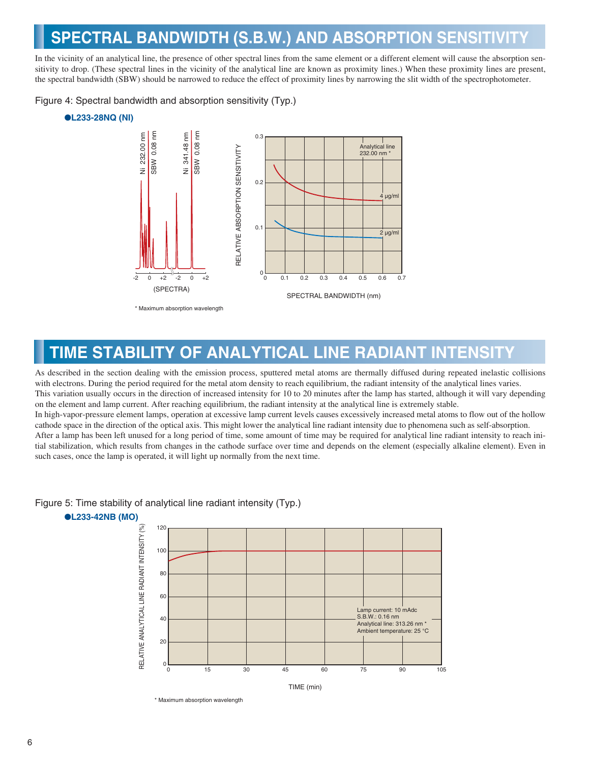# **SPECTRAL BANDWIDTH (S.B.W.) AND ABSORPTION SENSITIVITY**

In the vicinity of an analytical line, the presence of other spectral lines from the same element or a different element will cause the absorption sensitivity to drop. (These spectral lines in the vicinity of the analytical line are known as proximity lines.) When these proximity lines are present, the spectral bandwidth (SBW) should be narrowed to reduce the effect of proximity lines by narrowing the slit width of the spectrophotometer.

Figure 4: Spectral bandwidth and absorption sensitivity (Typ.)

### ●**L233-28NQ (NI)**



**TIME STABILITY OF ANALYTICAL LINE RADIANT INTENSITY**

As described in the section dealing with the emission process, sputtered metal atoms are thermally diffused during repeated inelastic collisions with electrons. During the period required for the metal atom density to reach equilibrium, the radiant intensity of the analytical lines varies. This variation usually occurs in the direction of increased intensity for 10 to 20 minutes after the lamp has started, although it will vary depending on the element and lamp current. After reaching equilibrium, the radiant intensity at the analytical line is extremely stable. In high-vapor-pressure element lamps, operation at excessive lamp current levels causes excessively increased metal atoms to flow out of the hollow cathode space in the direction of the optical axis. This might lower the analytical line radiant intensity due to phenomena such as self-absorption. After a lamp has been left unused for a long period of time, some amount of time may be required for analytical line radiant intensity to reach initial stabilization, which results from changes in the cathode surface over time and depends on the element (especially alkaline element). Even in such cases, once the lamp is operated, it will light up normally from the next time.

#### ●**L233-42NB (MO)** RELATIVE ANALYTICAL LINE RADIANT INTENSITY (%) RELATIVE ANALYTICAL LINE RADIANT INTENSITY (%) 120 100 80 60 amp current: 10 mAdc S.B.W.: 0.16 nm 40 Analytical line: 313.26 nm \* Ambient temperature: 25 °C 20 0 90 105 0 15 30 45 60 75 TIME (min)

### Figure 5: Time stability of analytical line radiant intensity (Typ.)

<sup>\*</sup> Maximum absorption wavelength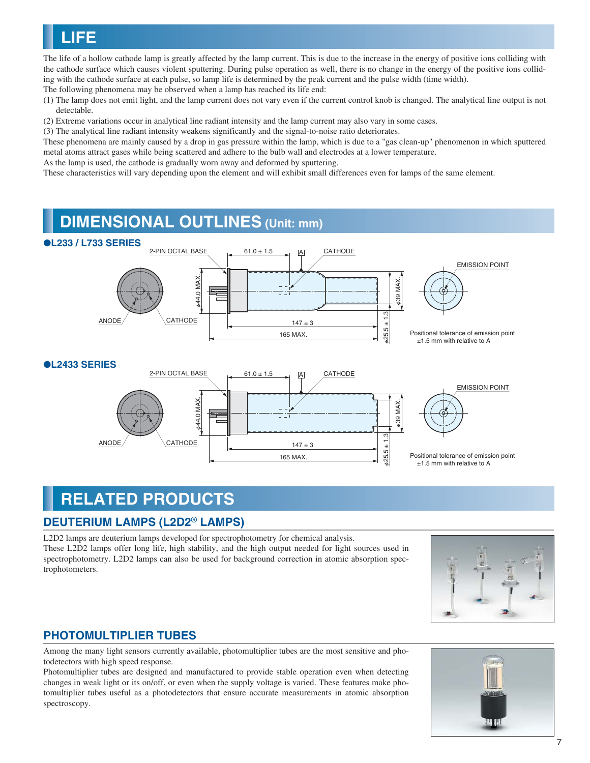

The life of a hollow cathode lamp is greatly affected by the lamp current. This is due to the increase in the energy of positive ions colliding with the cathode surface which causes violent sputtering. During pulse operation as well, there is no change in the energy of the positive ions colliding with the cathode surface at each pulse, so lamp life is determined by the peak current and the pulse width (time width). The following phenomena may be observed when a lamp has reached its life end:

- (1) The lamp does not emit light, and the lamp current does not vary even if the current control knob is changed. The analytical line output is not detectable.
- (2) Extreme variations occur in analytical line radiant intensity and the lamp current may also vary in some cases.

(3) The analytical line radiant intensity weakens significantly and the signal-to-noise ratio deteriorates.

These phenomena are mainly caused by a drop in gas pressure within the lamp, which is due to a "gas clean-up" phenomenon in which sputtered metal atoms attract gases while being scattered and adhere to the bulb wall and electrodes at a lower temperature.

As the lamp is used, the cathode is gradually worn away and deformed by sputtering.

These characteristics will vary depending upon the element and will exhibit small differences even for lamps of the same element.

### **DIMENSIONAL OUTLINES (Unit: mm)**



## **RELATED PRODUCTS**

### **DEUTERIUM LAMPS (L2D2**® **LAMPS)**

L2D2 lamps are deuterium lamps developed for spectrophotometry for chemical analysis. These L2D2 lamps offer long life, high stability, and the high output needed for light sources used in spectrophotometry. L2D2 lamps can also be used for background correction in atomic absorption spectrophotometers.



### **PHOTOMULTIPLIER TUBES**

Among the many light sensors currently available, photomultiplier tubes are the most sensitive and photodetectors with high speed response.

Photomultiplier tubes are designed and manufactured to provide stable operation even when detecting changes in weak light or its on/off, or even when the supply voltage is varied. These features make photomultiplier tubes useful as a photodetectors that ensure accurate measurements in atomic absorption spectroscopy.